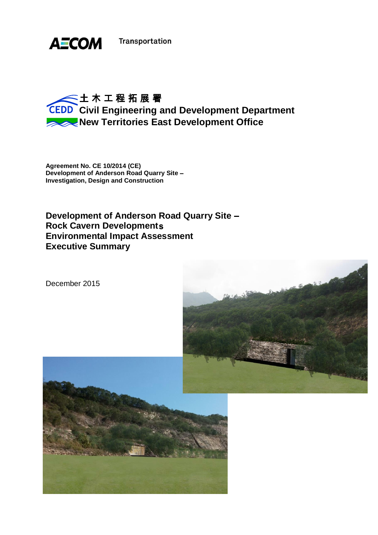

**Transportation** 

# **CEDD** Civil Engineering and Development Department **New Territories East Development Office**

**Agreement No. CE 10/2014 (CE) Development of Anderson Road Quarry Site Investigation, Design and Construction**

**Development of Anderson Road Quarry Site Rock Cavern Development Environmental Impact Assessment Executive Summary**





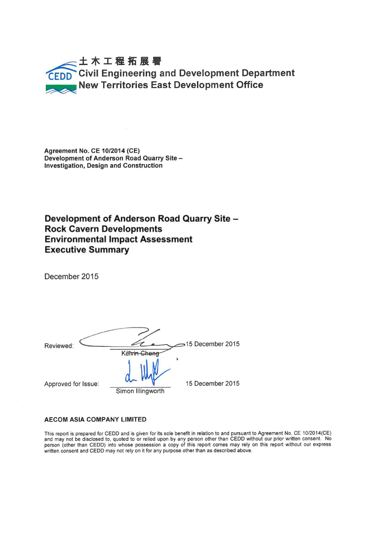# **Civil Engineering and Development Department<br>New Territories East Development Office**

**Agreement No. CE 10/2014 (CE)** Development of Anderson Road Quarry Site -**Investigation, Design and Construction** 

Development of Anderson Road Quarry Site -**Rock Cavern Developments Environmental Impact Assessment Executive Summary** 

December 2015

Reviewed:

Kelvin Chena Simon Illingworth

Approved for Issue:

15 December 2015

>15 December 2015

#### **AECOM ASIA COMPANY LIMITED**

This report is prepared for CEDD and is given for its sole benefit in relation to and pursuant to Agreement No. CE 10/2014(CE) and may not be disclosed to, quoted to or relied upon by any person other than CEDD without our person (other than CEDD) into whose possession a copy of this report comes may rely on this report without our express written consent and CEDD may not rely on it for any purpose other than as described above.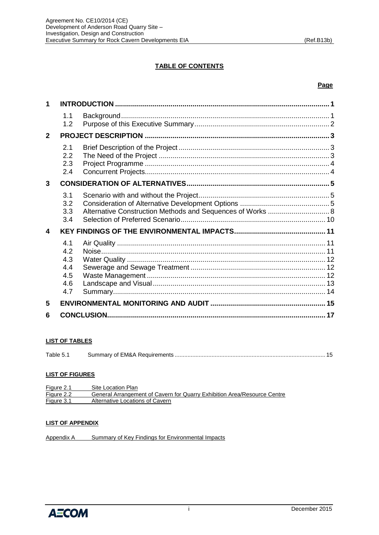# **TABLE OF CONTENTS**

# **Page**

| 1            |                                               |  |  |
|--------------|-----------------------------------------------|--|--|
|              | 1.1<br>1.2                                    |  |  |
| $\mathbf{2}$ |                                               |  |  |
|              | 2.1<br>2.2<br>2.3<br>2.4                      |  |  |
| 3            |                                               |  |  |
|              | 3.1<br>3.2<br>3.3<br>3.4                      |  |  |
| 4            |                                               |  |  |
|              | 4.1<br>4.2<br>4.3<br>4.4<br>4.5<br>4.6<br>4.7 |  |  |
| 5            |                                               |  |  |
| 6            |                                               |  |  |

# **LIST OF TABLES**

| Table 5. |  |  |
|----------|--|--|
|----------|--|--|

# **LIST OF FIGURES**

| Figure 2.1 | Site Location Plan                                                       |
|------------|--------------------------------------------------------------------------|
| Figure 2.2 | General Arrangement of Cavern for Quarry Exhibition Area/Resource Centre |
| Figure 3.1 | Alternative Locations of Cavern                                          |

#### **LIST OF APPENDIX**

Appendix A [Summary of Key Findings for Environmental Impacts](Appendix%20A.pdf)

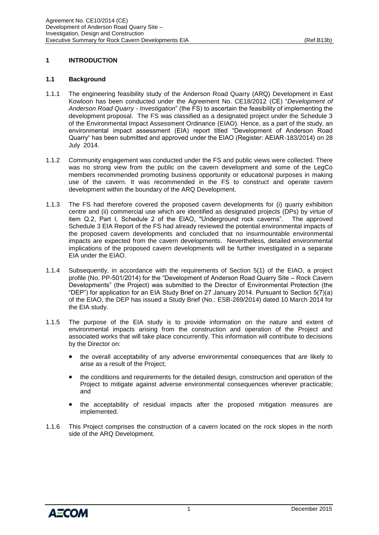# <span id="page-3-0"></span>**1 INTRODUCTION**

#### <span id="page-3-1"></span>**1.1 Background**

- 1.1.1 The engineering feasibility study of the Anderson Road Quarry (ARQ) Development in East Kowloon has been conducted under the Agreement No. CE18/2012 (CE) "*Development of Anderson Road Quarry - Investigation*" (the FS) to ascertain the feasibility of implementing the development proposal. The FS was classified as a designated project under the Schedule 3 of the Environmental Impact Assessment Ordinance (EIAO). Hence, as a part of the study, an environmental impact assessment (EIA) report titled "Development of Anderson Road Quarry" has been submitted and approved under the EIAO (Register: AEIAR-183/2014) on 28 July 2014.
- 1.1.2 Community engagement was conducted under the FS and public views were collected. There was no strong view from the public on the cavern development and some of the LegCo members recommended promoting business opportunity or educational purposes in making use of the cavern. It was recommended in the FS to construct and operate cavern development within the boundary of the ARQ Development.
- 1.1.3 The FS had therefore covered the proposed cavern developments for (i) quarry exhibition centre and (ii) commercial use which are identified as designated projects (DPs) by virtue of item Q.2, Part I, Schedule 2 of the EIAO, "Underground rock caverns". The approved Schedule 3 EIA Report of the FS had already reviewed the potential environmental impacts of the proposed cavern developments and concluded that no insurmountable environmental impacts are expected from the cavern developments. Nevertheless, detailed environmental implications of the proposed cavern developments will be further investigated in a separate EIA under the EIAO.
- 1.1.4 Subsequently, in accordance with the requirements of Section 5(1) of the EIAO, a project profile (No. PP-501/2014) for the "Development of Anderson Road Quarry Site – Rock Cavern Developments" (the Project) was submitted to the Director of Environmental Protection (the "DEP") for application for an EIA Study Brief on 27 January 2014. Pursuant to Section 5(7)(a) of the EIAO, the DEP has issued a Study Brief (No.: ESB-269/2014) dated 10 March 2014 for the EIA study.
- 1.1.5 The purpose of the EIA study is to provide information on the nature and extent of environmental impacts arising from the construction and operation of the Project and associated works that will take place concurrently. This information will contribute to decisions by the Director on:
	- the overall acceptability of any adverse environmental consequences that are likely to arise as a result of the Project;
	- the conditions and requirements for the detailed design, construction and operation of the Project to mitigate against adverse environmental consequences wherever practicable; and
	- the acceptability of residual impacts after the proposed mitigation measures are implemented.
- 1.1.6 This Project comprises the construction of a cavern located on the rock slopes in the north side of the ARQ Development.

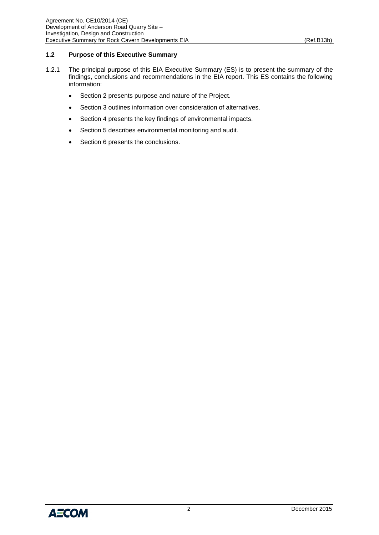# <span id="page-4-0"></span>**1.2 Purpose of this Executive Summary**

- 1.2.1 The principal purpose of this EIA Executive Summary (ES) is to present the summary of the findings, conclusions and recommendations in the EIA report. This ES contains the following information:
	- Section 2 presents purpose and nature of the Project.
	- Section 3 outlines information over consideration of alternatives.
	- Section 4 presents the key findings of environmental impacts.
	- Section 5 describes environmental monitoring and audit.
	- Section 6 presents the conclusions.

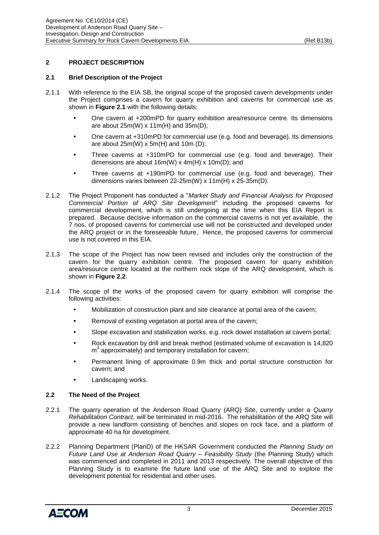# <span id="page-5-0"></span>**2 PROJECT DESCRIPTION**

#### <span id="page-5-1"></span>**2.1 Brief Description of the Project**

- 2.1.1 With reference to the EIA SB, the original scope of the proposed cavern developments under the Project comprises a cavern for quarry exhibition and caverns for commercial use as shown in **Figure 2.1** with the following details:
	- One cavern at +200mPD for quarry exhibition area/resource centre. Its dimensions are about  $25m(W)$  x 11m(H) and  $35m(D)$ ;
	- One cavern at +310mPD for commercial use (e.g. food and beverage). Its dimensions are about  $25m(W)$  x  $5m(H)$  and  $10m(D)$ ;
	- Three caverns at +310mPD for commercial use (e.g. food and beverage). Their dimensions are about 16m(W) x 4m(H) x 10m(D); and
	- Three caverns at +190mPD for commercial use (e.g. food and beverage). Their dimensions varies between 22-25m(W) x 11m(H) x 25-35m(D).
- 2.1.2 The Project Proponent has conducted a "*Market Study and Financial Analysis for Proposed Commercial Portion of ARQ Site Development*" including the proposed caverns for commercial development, which is still undergoing at the time when this EIA Report is prepared. Because decisive information on the commercial caverns is not yet available, the 7 nos. of proposed caverns for commercial use will not be constructed and developed under the ARQ project or in the foreseeable future, Hence, the proposed caverns for commercial use is not covered in this EIA.
- 2.1.3 The scope of the Project has now been revised and includes only the construction of the cavern for the quarry exhibition centre. The proposed cavern for quarry exhibition area/resource centre located at the northern rock slope of the ARQ development, which is shown in **Figure 2.2**.
- 2.1.4 The scope of the works of the proposed cavern for quarry exhibition will comprise the following activities:
	- Mobilization of construction plant and site clearance at portal area of the cavern;
	- Removal of existing vegetation at portal area of the cavern;
	- Slope excavation and stabilization works, e.g. rock dowel installation at cavern portal;
	- Rock excavation by drill and break method (estimated volume of excavation is 14,820 m<sup>3</sup> approximately) and temporary installation for cavern;
	- Permanent lining of approximate 0.9m thick and portal structure construction for cavern; and
	- Landscaping works.

# <span id="page-5-2"></span>**2.2 The Need of the Project**

- 2.2.1 The quarry operation of the Anderson Road Quarry (ARQ) Site, currently under a *Quarry Rehabilitation Contract*, will be terminated in mid-2016. The rehabilitation of the ARQ Site will provide a new landform consisting of benches and slopes on rock face, and a platform of approximate 40 ha for development.
- 2.2.2 Planning Department (PlanD) of the HKSAR Government conducted the *Planning Study on Future Land Use at Anderson Road Quarry – Feasibility Study* (the Planning Study) which was commenced and completed in 2011 and 2013 respectively. The overall objective of this Planning Study is to examine the future land use of the ARQ Site and to explore the development potential for residential and other uses.

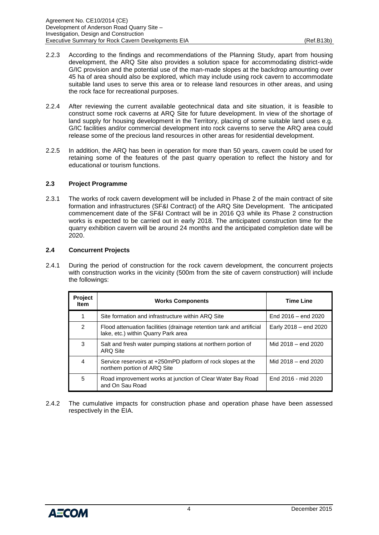- 2.2.3 According to the findings and recommendations of the Planning Study, apart from housing development, the ARQ Site also provides a solution space for accommodating district-wide G/IC provision and the potential use of the man-made slopes at the backdrop amounting over 45 ha of area should also be explored, which may include using rock cavern to accommodate suitable land uses to serve this area or to release land resources in other areas, and using the rock face for recreational purposes.
- 2.2.4 After reviewing the current available geotechnical data and site situation, it is feasible to construct some rock caverns at ARQ Site for future development. In view of the shortage of land supply for housing development in the Territory, placing of some suitable land uses e.g. G/IC facilities and/or commercial development into rock caverns to serve the ARQ area could release some of the precious land resources in other areas for residential development.
- 2.2.5 In addition, the ARQ has been in operation for more than 50 years, cavern could be used for retaining some of the features of the past quarry operation to reflect the history and for educational or tourism functions.

# <span id="page-6-0"></span>**2.3 Project Programme**

2.3.1 The works of rock cavern development will be included in Phase 2 of the main contract of site formation and infrastructures (SF&I Contract) of the ARQ Site Development. The anticipated commencement date of the SF&I Contract will be in 2016 Q3 while its Phase 2 construction works is expected to be carried out in early 2018. The anticipated construction time for the quarry exhibition cavern will be around 24 months and the anticipated completion date will be 2020.

#### <span id="page-6-1"></span>**2.4 Concurrent Projects**

2.4.1 During the period of construction for the rock cavern development, the concurrent projects with construction works in the vicinity (500m from the site of cavern construction) will include the followings:

| Project<br><b>Item</b> | <b>Works Components</b>                                                                                     | <b>Time Line</b>        |
|------------------------|-------------------------------------------------------------------------------------------------------------|-------------------------|
|                        | Site formation and infrastructure within ARQ Site                                                           | End $2016 -$ end $2020$ |
| $\mathcal{P}$          | Flood attenuation facilities (drainage retention tank and artificial<br>lake, etc.) within Quarry Park area | Early 2018 - end 2020   |
| 3                      | Salt and fresh water pumping stations at northern portion of<br><b>ARQ Site</b>                             | Mid 2018 – end 2020     |
| 4                      | Service reservoirs at +250mPD platform of rock slopes at the<br>northern portion of ARQ Site                | Mid 2018 – end 2020     |
| 5                      | Road improvement works at junction of Clear Water Bay Road<br>and On Sau Road                               | End 2016 - mid 2020     |

2.4.2 The cumulative impacts for construction phase and operation phase have been assessed respectively in the EIA.

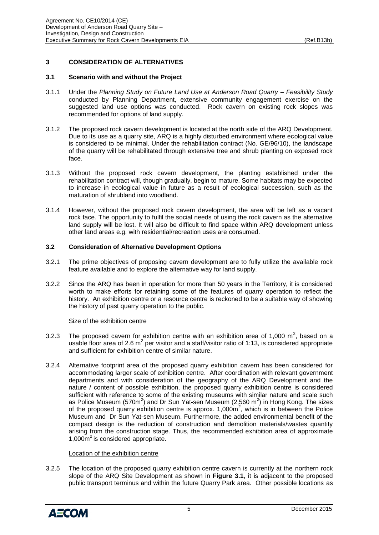# <span id="page-7-0"></span>**3 CONSIDERATION OF ALTERNATIVES**

# <span id="page-7-1"></span>**3.1 Scenario with and without the Project**

- 3.1.1 Under the *Planning Study on Future Land Use at Anderson Road Quarry – Feasibility Study* conducted by Planning Department, extensive community engagement exercise on the suggested land use options was conducted. Rock cavern on existing rock slopes was recommended for options of land supply.
- 3.1.2 The proposed rock cavern development is located at the north side of the ARQ Development. Due to its use as a quarry site, ARQ is a highly disturbed environment where ecological value is considered to be minimal. Under the rehabilitation contract (No. GE/96/10), the landscape of the quarry will be rehabilitated through extensive tree and shrub planting on exposed rock face.
- 3.1.3 Without the proposed rock cavern development, the planting established under the rehabilitation contract will, though gradually, begin to mature. Some habitats may be expected to increase in ecological value in future as a result of ecological succession, such as the maturation of shrubland into woodland.
- 3.1.4 However, without the proposed rock cavern development, the area will be left as a vacant rock face. The opportunity to fulfil the social needs of using the rock cavern as the alternative land supply will be lost. It will also be difficult to find space within ARQ development unless other land areas e.g. with residential/recreation uses are consumed.

# <span id="page-7-2"></span>**3.2 Consideration of Alternative Development Options**

- 3.2.1 The prime objectives of proposing cavern development are to fully utilize the available rock feature available and to explore the alternative way for land supply.
- 3.2.2 Since the ARQ has been in operation for more than 50 years in the Territory, it is considered worth to make efforts for retaining some of the features of quarry operation to reflect the history. An exhibition centre or a resource centre is reckoned to be a suitable way of showing the history of past quarry operation to the public.

#### Size of the exhibition centre

- 3.2.3 The proposed cavern for exhibition centre with an exhibition area of 1,000  $m^2$ , based on a usable floor area of 2.6  $m^2$  per visitor and a staff/visitor ratio of 1:13, is considered appropriate and sufficient for exhibition centre of similar nature.
- 3.2.4 Alternative footprint area of the proposed quarry exhibition cavern has been considered for accommodating larger scale of exhibition centre. After coordination with relevant government departments and with consideration of the geography of the ARQ Development and the nature / content of possible exhibition, the proposed quarry exhibition centre is considered sufficient with reference to some of the existing museums with similar nature and scale such as Police Museum (570m<sup>2</sup>) and Dr Sun Yat-sen Museum (2,560 m<sup>2</sup>) in Hong Kong. The sizes of the proposed quarry exhibition centre is approx.  $1,000m^2$ , which is in between the Police Museum and Dr Sun Yat-sen Museum. Furthermore, the added environmental benefit of the compact design is the reduction of construction and demolition materials/wastes quantity arising from the construction stage. Thus, the recommended exhibition area of approximate 1,000m <sup>2</sup>is considered appropriate.

#### Location of the exhibition centre

3.2.5 The location of the proposed quarry exhibition centre cavern is currently at the northern rock slope of the ARQ Site Development as shown in **Figure 3.1**, it is adjacent to the proposed public transport terminus and within the future Quarry Park area. Other possible locations as

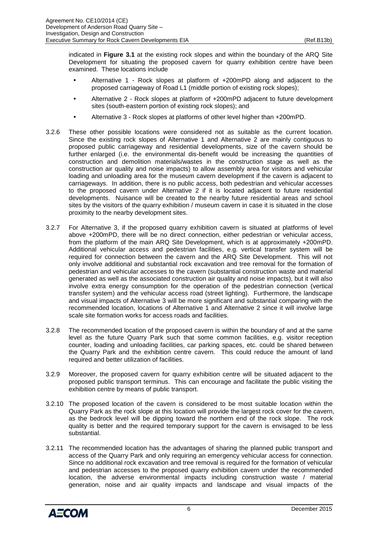indicated in **Figure 3.1** at the existing rock slopes and within the boundary of the ARQ Site Development for situating the proposed cavern for quarry exhibition centre have been examined. These locations include

- Alternative 1 Rock slopes at platform of +200mPD along and adjacent to the proposed carriageway of Road L1 (middle portion of existing rock slopes);
- Alternative 2 Rock slopes at platform of +200mPD adjacent to future development sites (south-eastern portion of existing rock slopes); and
- Alternative 3 Rock slopes at platforms of other level higher than +200mPD.
- 3.2.6 These other possible locations were considered not as suitable as the current location. Since the existing rock slopes of Alternative 1 and Alternative 2 are mainly contiguous to proposed public carriageway and residential developments, size of the cavern should be further enlarged (i.e. the environmental dis-benefit would be increasing the quantities of construction and demolition materials/wastes in the construction stage as well as the construction air quality and noise impacts) to allow assembly area for visitors and vehicular loading and unloading area for the museum cavern development if the cavern is adjacent to carriageways. In addition, there is no public access, both pedestrian and vehicular accesses to the proposed cavern under Alternative 2 if it is located adjacent to future residential developments. Nuisance will be created to the nearby future residential areas and school sites by the visitors of the quarry exhibition / museum cavern in case it is situated in the close proximity to the nearby development sites.
- 3.2.7 For Alternative 3, if the proposed quarry exhibition cavern is situated at platforms of level above +200mPD, there will be no direct connection, either pedestrian or vehicular access, from the platform of the main ARQ Site Development, which is at approximately +200mPD. Additional vehicular access and pedestrian facilities, e.g. vertical transfer system will be required for connection between the cavern and the ARQ Site Development. This will not only involve additional and substantial rock excavation and tree removal for the formation of pedestrian and vehicular accesses to the cavern (substantial construction waste and material generated as well as the associated construction air quality and noise impacts), but it will also involve extra energy consumption for the operation of the pedestrian connection (vertical transfer system) and the vehicular access road (street lighting). Furthermore, the landscape and visual impacts of Alternative 3 will be more significant and substantial comparing with the recommended location, locations of Alternative 1 and Alternative 2 since it will involve large scale site formation works for access roads and facilities.
- 3.2.8 The recommended location of the proposed cavern is within the boundary of and at the same level as the future Quarry Park such that some common facilities, e.g. visitor reception counter, loading and unloading facilities, car parking spaces, etc. could be shared between the Quarry Park and the exhibition centre cavern. This could reduce the amount of land required and better utilization of facilities.
- 3.2.9 Moreover, the proposed cavern for quarry exhibition centre will be situated adjacent to the proposed public transport terminus. This can encourage and facilitate the public visiting the exhibition centre by means of public transport.
- 3.2.10 The proposed location of the cavern is considered to be most suitable location within the Quarry Park as the rock slope at this location will provide the largest rock cover for the cavern, as the bedrock level will be dipping toward the northern end of the rock slope. The rock quality is better and the required temporary support for the cavern is envisaged to be less substantial.
- 3.2.11 The recommended location has the advantages of sharing the planned public transport and access of the Quarry Park and only requiring an emergency vehicular access for connection. Since no additional rock excavation and tree removal is required for the formation of vehicular and pedestrian accesses to the proposed quarry exhibition cavern under the recommended location, the adverse environmental impacts including construction waste / material generation, noise and air quality impacts and landscape and visual impacts of the

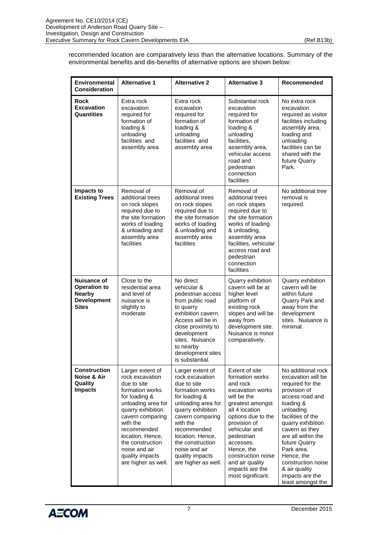recommended location are comparatively less than the alternative locations. Summary of the environmental benefits and dis-benefits of alternative options are shown below:

| Environmental<br><b>Consideration</b>                                                            | <b>Alternative 1</b>                                                                                                                                                                                                                                                                | <b>Alternative 2</b>                                                                                                                                                                                                                                                                | <b>Alternative 3</b>                                                                                                                                                                                                                                                                                    | Recommended                                                                                                                                                                                                                                                                                                                             |
|--------------------------------------------------------------------------------------------------|-------------------------------------------------------------------------------------------------------------------------------------------------------------------------------------------------------------------------------------------------------------------------------------|-------------------------------------------------------------------------------------------------------------------------------------------------------------------------------------------------------------------------------------------------------------------------------------|---------------------------------------------------------------------------------------------------------------------------------------------------------------------------------------------------------------------------------------------------------------------------------------------------------|-----------------------------------------------------------------------------------------------------------------------------------------------------------------------------------------------------------------------------------------------------------------------------------------------------------------------------------------|
| Rock<br><b>Excavation</b><br><b>Quantities</b>                                                   | Extra rock<br>excavation<br>required for<br>formation of<br>loading &<br>unloading<br>facilities and<br>assembly area                                                                                                                                                               | Extra rock<br>excavation<br>required for<br>formation of<br>loading &<br>unloading<br>facilities and<br>assembly area                                                                                                                                                               | Substantial rock<br>excavation<br>required for<br>formation of<br>loading &<br>unloading<br>facilities.<br>assembly area,<br>vehicular access<br>road and<br>pedestrian<br>connection<br>facilities                                                                                                     | No extra rock<br>excavation<br>required as visitor<br>facilities including<br>assembly area,<br>loading and<br>unloading<br>facilities can be<br>shared with the<br>future Quarry<br>Park.                                                                                                                                              |
| Impacts to<br><b>Existing Trees</b>                                                              | Removal of<br>additional trees<br>on rock slopes<br>required due to<br>the site formation<br>works of loading<br>& unloading and<br>assembly area<br>facilities                                                                                                                     | Removal of<br>additional trees<br>on rock slopes<br>required due to<br>the site formation<br>works of loading<br>& unloading and<br>assembly area<br>facilities                                                                                                                     | Removal of<br>additional trees<br>on rock slopes<br>required due to<br>the site formation<br>works of loading<br>& unloading,<br>assembly area<br>facilities, vehicular<br>access road and<br>pedestrian<br>connection<br>facilities                                                                    | No additional tree<br>removal is<br>required.                                                                                                                                                                                                                                                                                           |
| <b>Nuisance of</b><br><b>Operation to</b><br><b>Nearby</b><br><b>Development</b><br><b>Sites</b> | Close to the<br>residential area<br>and level of<br>nuisance is<br>slightly to<br>moderate                                                                                                                                                                                          | No direct<br>vehicular &<br>pedestrian access<br>from public road<br>to quarry<br>exhibition cavern.<br>Access will be in<br>close proximity to<br>development<br>sites. Nuisance<br>to nearby<br>development sites<br>is substantial.                                              | Quarry exhibition<br>cavern will be at<br>higher level<br>platform of<br>existing rock<br>slopes and will be<br>away from<br>development site.<br>Nuisance is minor<br>comparatively.                                                                                                                   | Quarry exhibition<br>cavern will be<br>within future<br>Quarry Park and<br>away from the<br>development<br>sites. Nuisance is<br>minimal.                                                                                                                                                                                               |
| <b>Construction</b><br>Noise & Air<br>Quality<br><b>Impacts</b>                                  | Larger extent of<br>rock excavation<br>due to site<br>formation works<br>for loading &<br>unloading area for<br>quarry exhibition<br>cavern comparing<br>with the<br>recommended<br>location. Hence,<br>the construction<br>noise and air<br>quality impacts<br>are higher as well. | Larger extent of<br>rock excavation<br>due to site<br>formation works<br>for loading &<br>unloading area for<br>quarry exhibition<br>cavern comparing<br>with the<br>recommended<br>location. Hence,<br>the construction<br>noise and air<br>quality impacts<br>are higher as well. | Extent of site<br>formation works<br>and rock<br>excavation works<br>will be the<br>greatest amongst<br>all 4 location<br>options due to the<br>provision of<br>vehicular and<br>pedestrian<br>accesses.<br>Hence, the<br>construction noise<br>and air quality<br>impacts are the<br>most significant. | No additional rock<br>excavation will be<br>required for the<br>provision of<br>access road and<br>loading &<br>unloading<br>facilities of the<br>quarry exhibition<br>cavern as they<br>are all within the<br>future Quarry<br>Park area.<br>Hence, the<br>construction noise<br>& air quality<br>impacts are the<br>least amongst the |

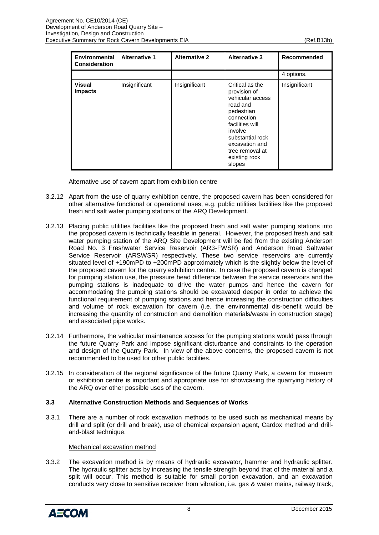| Environmental<br><b>Consideration</b> | <b>Alternative 1</b> | <b>Alternative 2</b> | <b>Alternative 3</b>                                                                                                                                                                                          | Recommended   |
|---------------------------------------|----------------------|----------------------|---------------------------------------------------------------------------------------------------------------------------------------------------------------------------------------------------------------|---------------|
|                                       |                      |                      |                                                                                                                                                                                                               | 4 options.    |
| <b>Visual</b><br><b>Impacts</b>       | Insignificant        | Insignificant        | Critical as the<br>provision of<br>vehicular access<br>road and<br>pedestrian<br>connection<br>facilities will<br>involve<br>substantial rock<br>excavation and<br>tree removal at<br>existing rock<br>slopes | Insignificant |

Alternative use of cavern apart from exhibition centre

- 3.2.12 Apart from the use of quarry exhibition centre, the proposed cavern has been considered for other alternative functional or operational uses, e.g. public utilities facilities like the proposed fresh and salt water pumping stations of the ARQ Development.
- 3.2.13 Placing public utilities facilities like the proposed fresh and salt water pumping stations into the proposed cavern is technically feasible in general. However, the proposed fresh and salt water pumping station of the ARQ Site Development will be fed from the existing Anderson Road No. 3 Freshwater Service Reservoir (AR3-FWSR) and Anderson Road Saltwater Service Reservoir (ARSWSR) respectively. These two service reservoirs are currently situated level of +190mPD to +200mPD approximately which is the slightly below the level of the proposed cavern for the quarry exhibition centre. In case the proposed cavern is changed for pumping station use, the pressure head difference between the service reservoirs and the pumping stations is inadequate to drive the water pumps and hence the cavern for accommodating the pumping stations should be excavated deeper in order to achieve the functional requirement of pumping stations and hence increasing the construction difficulties and volume of rock excavation for cavern (i.e. the environmental dis-benefit would be increasing the quantity of construction and demolition materials/waste in construction stage) and associated pipe works.
- 3.2.14 Furthermore, the vehicular maintenance access for the pumping stations would pass through the future Quarry Park and impose significant disturbance and constraints to the operation and design of the Quarry Park. In view of the above concerns, the proposed cavern is not recommended to be used for other public facilities.
- 3.2.15 In consideration of the regional significance of the future Quarry Park, a cavern for museum or exhibition centre is important and appropriate use for showcasing the quarrying history of the ARQ over other possible uses of the cavern.

# <span id="page-10-0"></span>**3.3 Alternative Construction Methods and Sequences of Works**

3.3.1 There are a number of rock excavation methods to be used such as mechanical means by drill and split (or drill and break), use of chemical expansion agent, Cardox method and drilland-blast technique.

#### Mechanical excavation method

3.3.2 The excavation method is by means of hydraulic excavator, hammer and hydraulic splitter. The hydraulic splitter acts by increasing the tensile strength beyond that of the material and a split will occur. This method is suitable for small portion excavation, and an excavation conducts very close to sensitive receiver from vibration, i.e. gas & water mains, railway track,

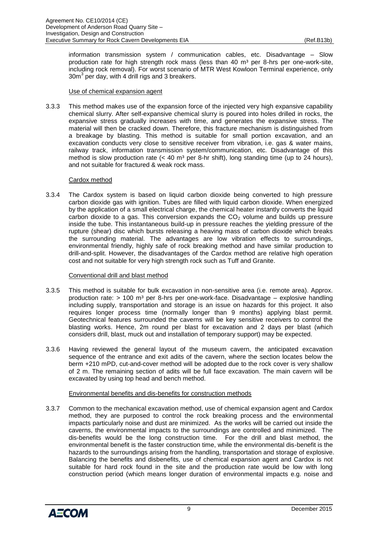information transmission system / communication cables, etc. Disadvantage – Slow production rate for high strength rock mass (less than 40  $m<sup>3</sup>$  per 8-hrs per one-work-site, including rock removal). For worst scenario of MTR West Kowloon Terminal experience, only  $30m<sup>3</sup>$  per day, with 4 drill rigs and 3 breakers.

#### Use of chemical expansion agent

3.3.3 This method makes use of the expansion force of the injected very high expansive capability chemical slurry. After self-expansive chemical slurry is poured into holes drilled in rocks, the expansive stress gradually increases with time, and generates the expansive stress. The material will then be cracked down. Therefore, this fracture mechanism is distinguished from a breakage by blasting. This method is suitable for small portion excavation, and an excavation conducts very close to sensitive receiver from vibration, i.e. gas & water mains, railway track, information transmission system/communication, etc. Disadvantage of this method is slow production rate  $(< 40 \text{ m}^3 \text{ per } 8\text{-hr}$  shift), long standing time (up to 24 hours), and not suitable for fractured & weak rock mass.

#### Cardox method

3.3.4 The Cardox system is based on liquid carbon dioxide being converted to high pressure carbon dioxide gas with ignition. Tubes are filled with liquid carbon dioxide. When energized by the application of a small electrical charge, the chemical heater instantly converts the liquid carbon dioxide to a gas. This conversion expands the  $CO<sub>2</sub>$  volume and builds up pressure inside the tube. This instantaneous build-up in pressure reaches the yielding pressure of the rupture (shear) disc which bursts releasing a heaving mass of carbon dioxide which breaks the surrounding material. The advantages are low vibration effects to surroundings, environmental friendly, highly safe of rock breaking method and have similar production to drill-and-split. However, the disadvantages of the Cardox method are relative high operation cost and not suitable for very high strength rock such as Tuff and Granite.

#### Conventional drill and blast method

- 3.3.5 This method is suitable for bulk excavation in non-sensitive area (i.e. remote area). Approx. production rate:  $> 100$  m<sup>3</sup> per 8-hrs per one-work-face. Disadvantage – explosive handling including supply, transportation and storage is an issue on hazards for this project. It also requires longer process time (normally longer than 9 months) applying blast permit. Geotechnical features surrounded the caverns will be key sensitive receivers to control the blasting works. Hence, 2m round per blast for excavation and 2 days per blast (which considers drill, blast, muck out and installation of temporary support) may be expected.
- 3.3.6 Having reviewed the general layout of the museum cavern, the anticipated excavation sequence of the entrance and exit adits of the cavern, where the section locates below the berm +210 mPD, cut-and-cover method will be adopted due to the rock cover is very shallow of 2 m. The remaining section of adits will be full face excavation. The main cavern will be excavated by using top head and bench method.

#### Environmental benefits and dis-benefits for construction methods

3.3.7 Common to the mechanical excavation method, use of chemical expansion agent and Cardox method, they are purposed to control the rock breaking process and the environmental impacts particularly noise and dust are minimized. As the works will be carried out inside the caverns, the environmental impacts to the surroundings are controlled and minimized. The dis-benefits would be the long construction time. For the drill and blast method, the environmental benefit is the faster construction time, while the environmental dis-benefit is the hazards to the surroundings arising from the handling, transportation and storage of explosive. Balancing the benefits and disbenefits, use of chemical expansion agent and Cardox is not suitable for hard rock found in the site and the production rate would be low with long construction period (which means longer duration of environmental impacts e.g. noise and

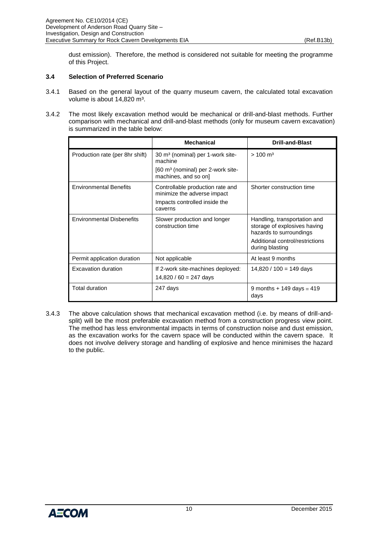dust emission). Therefore, the method is considered not suitable for meeting the programme of this Project.

#### <span id="page-12-0"></span>**3.4 Selection of Preferred Scenario**

- 3.4.1 Based on the general layout of the quarry museum cavern, the calculated total excavation volume is about 14,820 m<sup>3</sup>.
- 3.4.2 The most likely excavation method would be mechanical or drill-and-blast methods. Further comparison with mechanical and drill-and-blast methods (only for museum cavern excavation) is summarized in the table below:

|                                  | <b>Mechanical</b>                                                                                                               | <b>Drill-and-Blast</b>                                                                                                                        |
|----------------------------------|---------------------------------------------------------------------------------------------------------------------------------|-----------------------------------------------------------------------------------------------------------------------------------------------|
| Production rate (per 8hr shift)  | 30 m <sup>3</sup> (nominal) per 1-work site-<br>machine<br>$[60 \text{ m}^3$ (nominal) per 2-work site-<br>machines, and so on] | $> 100 \text{ m}^3$                                                                                                                           |
| <b>Environmental Benefits</b>    | Controllable production rate and<br>minimize the adverse impact<br>Impacts controlled inside the<br>caverns                     | Shorter construction time                                                                                                                     |
| <b>Environmental Disbenefits</b> | Slower production and longer<br>construction time                                                                               | Handling, transportation and<br>storage of explosives having<br>hazards to surroundings<br>Additional control/restrictions<br>during blasting |
| Permit application duration      | Not applicable                                                                                                                  | At least 9 months                                                                                                                             |
| Excavation duration              | If 2-work site-machines deployed:<br>$14,820 / 60 = 247$ days                                                                   | $14,820 / 100 = 149$ days                                                                                                                     |
| Total duration                   | 247 days                                                                                                                        | 9 months + 149 days = 419<br>days                                                                                                             |

3.4.3 The above calculation shows that mechanical excavation method (i.e. by means of drill-andsplit) will be the most preferable excavation method from a construction progress view point. The method has less environmental impacts in terms of construction noise and dust emission, as the excavation works for the cavern space will be conducted within the cavern space. It does not involve delivery storage and handling of explosive and hence minimises the hazard to the public.

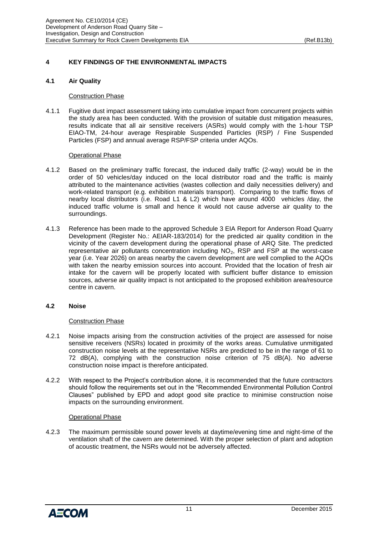# <span id="page-13-0"></span>**4 KEY FINDINGS OF THE ENVIRONMENTAL IMPACTS**

# <span id="page-13-1"></span>**4.1 Air Quality**

# Construction Phase

4.1.1 Fugitive dust impact assessment taking into cumulative impact from concurrent projects within the study area has been conducted. With the provision of suitable dust mitigation measures, results indicate that all air sensitive receivers (ASRs) would comply with the 1-hour TSP EIAO-TM, 24-hour average Respirable Suspended Particles (RSP) / Fine Suspended Particles (FSP) and annual average RSP/FSP criteria under AQOs.

# Operational Phase

- 4.1.2 Based on the preliminary traffic forecast, the induced daily traffic (2-way) would be in the order of 50 vehicles/day induced on the local distributor road and the traffic is mainly attributed to the maintenance activities (wastes collection and daily necessities delivery) and work-related transport (e.g. exhibition materials transport). Comparing to the traffic flows of nearby local distributors (i.e. Road L1 & L2) which have around 4000 vehicles /day, the induced traffic volume is small and hence it would not cause adverse air quality to the surroundings.
- 4.1.3 Reference has been made to the approved Schedule 3 EIA Report for Anderson Road Quarry Development (Register No.: AEIAR-183/2014) for the predicted air quality condition in the vicinity of the cavern development during the operational phase of ARQ Site. The predicted representative air pollutants concentration including  $NO<sub>2</sub>$ , RSP and FSP at the worst-case year (i.e. Year 2026) on areas nearby the cavern development are well complied to the AQOs with taken the nearby emission sources into account. Provided that the location of fresh air intake for the cavern will be properly located with sufficient buffer distance to emission sources, adverse air quality impact is not anticipated to the proposed exhibition area/resource centre in cavern.

# <span id="page-13-2"></span>**4.2 Noise**

#### Construction Phase

- 4.2.1 Noise impacts arising from the construction activities of the project are assessed for noise sensitive receivers (NSRs) located in proximity of the works areas. Cumulative unmitigated construction noise levels at the representative NSRs are predicted to be in the range of 61 to 72 dB(A), complying with the construction noise criterion of 75 dB(A). No adverse construction noise impact is therefore anticipated.
- 4.2.2 With respect to the Project's contribution alone, it is recommended that the future contractors should follow the requirements set out in the "Recommended Environmental Pollution Control Clauses" published by EPD and adopt good site practice to minimise construction noise impacts on the surrounding environment.

# Operational Phase

4.2.3 The maximum permissible sound power levels at daytime/evening time and night-time of the ventilation shaft of the cavern are determined. With the proper selection of plant and adoption of acoustic treatment, the NSRs would not be adversely affected.

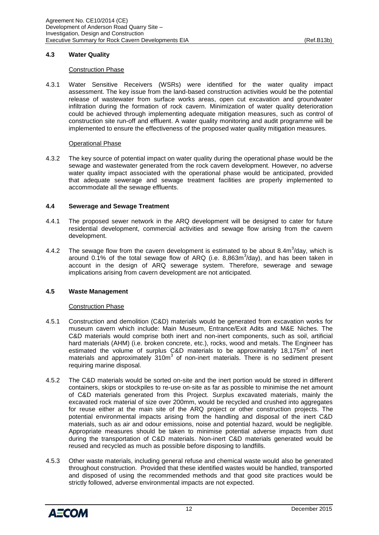# <span id="page-14-0"></span>**4.3 Water Quality**

#### Construction Phase

4.3.1 Water Sensitive Receivers (WSRs) were identified for the water quality impact assessment. The key issue from the land-based construction activities would be the potential release of wastewater from surface works areas, open cut excavation and groundwater infiltration during the formation of rock cavern. Minimization of water quality deterioration could be achieved through implementing adequate mitigation measures, such as control of construction site run-off and effluent. A water quality monitoring and audit programme will be implemented to ensure the effectiveness of the proposed water quality mitigation measures.

#### Operational Phase

4.3.2 The key source of potential impact on water quality during the operational phase would be the sewage and wastewater generated from the rock cavern development. However, no adverse water quality impact associated with the operational phase would be anticipated, provided that adequate sewerage and sewage treatment facilities are properly implemented to accommodate all the sewage effluents.

#### <span id="page-14-1"></span>**4.4 Sewerage and Sewage Treatment**

- 4.4.1 The proposed sewer network in the ARQ development will be designed to cater for future residential development, commercial activities and sewage flow arising from the cavern development.
- 4.4.2 The sewage flow from the cavern development is estimated to be about 8.4m<sup>3</sup>/day, which is around 0.1% of the total sewage flow of ARQ (i.e. 8,863m $3$ /day), and has been taken in account in the design of ARQ sewerage system. Therefore, sewerage and sewage implications arising from cavern development are not anticipated.

#### <span id="page-14-2"></span>**4.5 Waste Management**

#### Construction Phase

- 4.5.1 Construction and demolition (C&D) materials would be generated from excavation works for museum cavern which include: Main Museum, Entrance/Exit Adits and M&E Niches. The C&D materials would comprise both inert and non-inert components, such as soil, artificial hard materials (AHM) (i.e. broken concrete, etc.), rocks, wood and metals. The Engineer has estimated the volume of surplus C&D materials to be approximately 18,175m<sup>3</sup> of inert materials and approximately  $310m<sup>3</sup>$  of non-inert materials. There is no sediment present requiring marine disposal.
- 4.5.2 The C&D materials would be sorted on-site and the inert portion would be stored in different containers, skips or stockpiles to re-use on-site as far as possible to minimise the net amount of C&D materials generated from this Project. Surplus excavated materials, mainly the excavated rock material of size over 200mm, would be recycled and crushed into aggregates for reuse either at the main site of the ARQ project or other construction projects. The potential environmental impacts arising from the handling and disposal of the inert C&D materials, such as air and odour emissions, noise and potential hazard, would be negligible. Appropriate measures should be taken to minimise potential adverse impacts from dust during the transportation of C&D materials. Non-inert C&D materials generated would be reused and recycled as much as possible before disposing to landfills.
- 4.5.3 Other waste materials, including general refuse and chemical waste would also be generated throughout construction. Provided that these identified wastes would be handled, transported and disposed of using the recommended methods and that good site practices would be strictly followed, adverse environmental impacts are not expected.

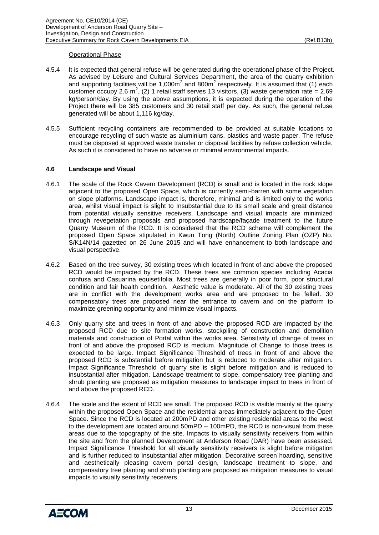#### Operational Phase

- 4.5.4 It is expected that general refuse will be generated during the operational phase of the Project. As advised by Leisure and Cultural Services Department, the area of the quarry exhibition and supporting facilities will be 1,000 $m^2$  and 800 $m^2$  respectively. It is assumed that (1) each customer occupy 2.6 m<sup>2</sup>, (2) 1 retail staff serves 13 visitors, (3) waste generation rate = 2.69 kg/person/day. By using the above assumptions, it is expected during the operation of the Project there will be 385 customers and 30 retail staff per day. As such, the general refuse generated will be about 1,116 kg/day.
- 4.5.5 Sufficient recycling containers are recommended to be provided at suitable locations to encourage recycling of such waste as aluminium cans, plastics and waste paper. The refuse must be disposed at approved waste transfer or disposal facilities by refuse collection vehicle. As such it is considered to have no adverse or minimal environmental impacts.

# <span id="page-15-0"></span>**4.6 Landscape and Visual**

- 4.6.1 The scale of the Rock Cavern Development (RCD) is small and is located in the rock slope adjacent to the proposed Open Space, which is currently semi-barren with some vegetation on slope platforms. Landscape impact is, therefore, minimal and is limited only to the works area, whilst visual impact is slight to Insubstantial due to its small scale and great distance from potential visually sensitive receivers. Landscape and visual impacts are minimized through revegetation proposals and proposed hardscape/façade treatment to the future Quarry Museum of the RCD. It is considered that the RCD scheme will complement the proposed Open Space stipulated in Kwun Tong (North) Outline Zoning Plan (OZP) No. S/K14N/14 gazetted on 26 June 2015 and will have enhancement to both landscape and visual perspective.
- 4.6.2 Based on the tree survey, 30 existing trees which located in front of and above the proposed RCD would be impacted by the RCD. These trees are common species including Acacia confusa and Casuarina equisetifolia. Most trees are generally in poor form, poor structural condition and fair health condition. Aesthetic value is moderate. All of the 30 existing trees are in conflict with the development works area and are proposed to be felled. 30 compensatory trees are proposed near the entrance to cavern and on the platform to maximize greening opportunity and minimize visual impacts.
- 4.6.3 Only quarry site and trees in front of and above the proposed RCD are impacted by the proposed RCD due to site formation works, stockpiling of construction and demolition materials and construction of Portal within the works area. Sensitivity of change of trees in front of and above the proposed RCD is medium. Magnitude of Change to those trees is expected to be large. Impact Significance Threshold of trees in front of and above the proposed RCD is substantial before mitigation but is reduced to moderate after mitigation. Impact Significance Threshold of quarry site is slight before mitigation and is reduced to insubstantial after mitigation. Landscape treatment to slope, compensatory tree planting and shrub planting are proposed as mitigation measures to landscape impact to trees in front of and above the proposed RCD.
- 4.6.4 The scale and the extent of RCD are small. The proposed RCD is visible mainly at the quarry within the proposed Open Space and the residential areas immediately adjacent to the Open Space. Since the RCD is located at 200mPD and other existing residential areas to the west to the development are located around 50mPD – 100mPD, the RCD is non-visual from these areas due to the topography of the site. Impacts to visually sensitivity receivers from within the site and from the planned Development at Anderson Road (DAR) have been assessed. Impact Significance Threshold for all visually sensitivity receivers is slight before mitigation and is further reduced to insubstantial after mitigation. Decorative screen hoarding, sensitive and aesthetically pleasing cavern portal design, landscape treatment to slope, and compensatory tree planting and shrub planting are proposed as mitigation measures to visual impacts to visually sensitivity receivers.

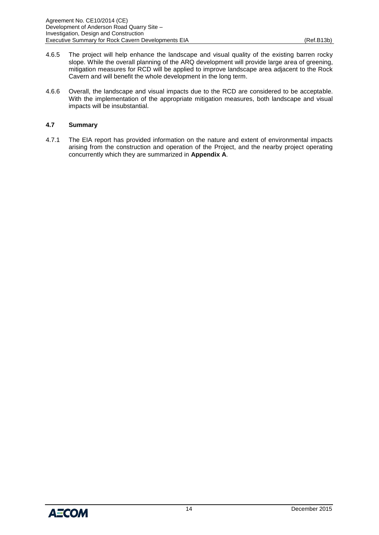- 4.6.5 The project will help enhance the landscape and visual quality of the existing barren rocky slope. While the overall planning of the ARQ development will provide large area of greening, mitigation measures for RCD will be applied to improve landscape area adjacent to the Rock Cavern and will benefit the whole development in the long term.
- 4.6.6 Overall, the landscape and visual impacts due to the RCD are considered to be acceptable. With the implementation of the appropriate mitigation measures, both landscape and visual impacts will be insubstantial.

# <span id="page-16-0"></span>**4.7 Summary**

4.7.1 The EIA report has provided information on the nature and extent of environmental impacts arising from the construction and operation of the Project, and the nearby project operating concurrently which they are summarized in **Appendix A**.

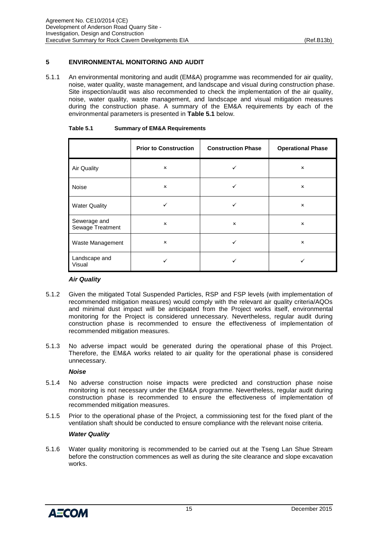# <span id="page-17-0"></span>**5 ENVIRONMENTAL MONITORING AND AUDIT**

5.1.1 An environmental monitoring and audit (EM&A) programme was recommended for air quality, noise, water quality, waste management, and landscape and visual during construction phase. Site inspection/audit was also recommended to check the implementation of the air quality, noise, water quality, waste management, and landscape and visual mitigation measures during the construction phase. A summary of the EM&A requirements by each of the environmental parameters is presented in **Table 5.1** below.

|                                  | <b>Prior to Construction</b> | <b>Construction Phase</b> | <b>Operational Phase</b> |
|----------------------------------|------------------------------|---------------------------|--------------------------|
| <b>Air Quality</b>               | $\mathsf{x}$                 |                           | $\mathsf{x}$             |
| Noise                            | $\boldsymbol{\mathsf{x}}$    | ✓                         | x                        |
| <b>Water Quality</b>             | ✓                            | ✓                         | x                        |
| Sewerage and<br>Sewage Treatment | $\boldsymbol{\mathsf{x}}$    | $\boldsymbol{\mathsf{x}}$ | x                        |
| Waste Management                 | $\boldsymbol{\mathsf{x}}$    |                           | x                        |
| Landscape and<br>Visual          |                              |                           |                          |

#### <span id="page-17-1"></span>**Table 5.1 Summary of EM&A Requirements**

#### *Air Quality*

- 5.1.2 Given the mitigated Total Suspended Particles, RSP and FSP levels (with implementation of recommended mitigation measures) would comply with the relevant air quality criteria/AQOs and minimal dust impact will be anticipated from the Project works itself, environmental monitoring for the Project is considered unnecessary. Nevertheless, regular audit during construction phase is recommended to ensure the effectiveness of implementation of recommended mitigation measures.
- 5.1.3 No adverse impact would be generated during the operational phase of this Project. Therefore, the EM&A works related to air quality for the operational phase is considered unnecessary.

#### *Noise*

- 5.1.4 No adverse construction noise impacts were predicted and construction phase noise monitoring is not necessary under the EM&A programme. Nevertheless, regular audit during construction phase is recommended to ensure the effectiveness of implementation of recommended mitigation measures.
- 5.1.5 Prior to the operational phase of the Project, a commissioning test for the fixed plant of the ventilation shaft should be conducted to ensure compliance with the relevant noise criteria.

#### *Water Quality*

5.1.6 Water quality monitoring is recommended to be carried out at the Tseng Lan Shue Stream before the construction commences as well as during the site clearance and slope excavation works.

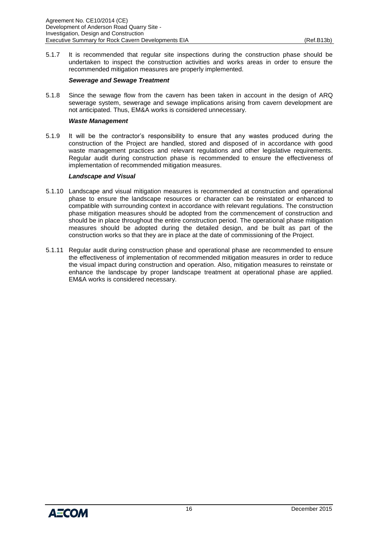5.1.7 It is recommended that regular site inspections during the construction phase should be undertaken to inspect the construction activities and works areas in order to ensure the recommended mitigation measures are properly implemented.

#### *Sewerage and Sewage Treatment*

5.1.8 Since the sewage flow from the cavern has been taken in account in the design of ARQ sewerage system, sewerage and sewage implications arising from cavern development are not anticipated. Thus, EM&A works is considered unnecessary.

#### *Waste Management*

5.1.9 It will be the contractor's responsibility to ensure that any wastes produced during the construction of the Project are handled, stored and disposed of in accordance with good waste management practices and relevant regulations and other legislative requirements. Regular audit during construction phase is recommended to ensure the effectiveness of implementation of recommended mitigation measures.

#### *Landscape and Visual*

- 5.1.10 Landscape and visual mitigation measures is recommended at construction and operational phase to ensure the landscape resources or character can be reinstated or enhanced to compatible with surrounding context in accordance with relevant regulations. The construction phase mitigation measures should be adopted from the commencement of construction and should be in place throughout the entire construction period. The operational phase mitigation measures should be adopted during the detailed design, and be built as part of the construction works so that they are in place at the date of commissioning of the Project.
- 5.1.11 Regular audit during construction phase and operational phase are recommended to ensure the effectiveness of implementation of recommended mitigation measures in order to reduce the visual impact during construction and operation. Also, mitigation measures to reinstate or enhance the landscape by proper landscape treatment at operational phase are applied. EM&A works is considered necessary.